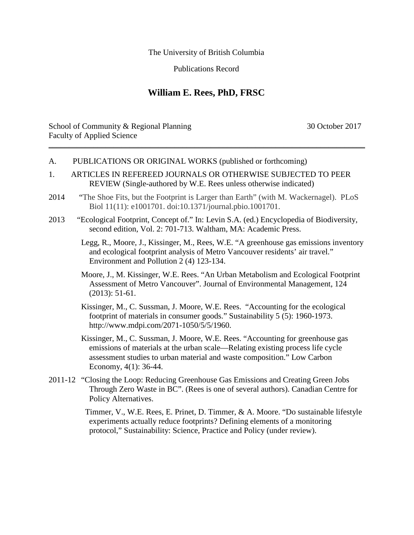The University of British Columbia

Publications Record

## **William E. Rees, PhD, FRSC**

School of Community & Regional Planning 30 October 2017 Faculty of Applied Science \_\_\_\_\_\_\_\_\_\_\_\_\_\_\_\_\_\_\_\_\_\_\_\_\_\_\_\_\_\_\_\_\_\_\_\_\_\_\_\_\_\_\_\_\_\_\_\_\_\_\_\_\_\_\_\_\_\_\_\_\_\_\_\_\_\_\_\_\_\_\_\_\_\_\_\_\_\_

## A. PUBLICATIONS OR ORIGINAL WORKS (published or forthcoming)

- 1. ARTICLES IN REFEREED JOURNALS OR OTHERWISE SUBJECTED TO PEER REVIEW (Single-authored by W.E. Rees unless otherwise indicated)
- 2014 "The Shoe Fits, but the Footprint is Larger than Earth" (with M. Wackernagel). PLoS Biol 11(11): e1001701. doi:10.1371/journal.pbio.1001701.
- 2013 "Ecological Footprint, Concept of." In: Levin S.A. (ed.) Encyclopedia of Biodiversity, second edition, Vol. 2: 701-713. Waltham, MA: Academic Press.
	- Legg, R., Moore, J., Kissinger, M., Rees, W.E. "A greenhouse gas emissions inventory and ecological footprint analysis of Metro Vancouver residents' air travel." Environment and Pollution 2 (4) 123-134.
	- Moore, J., M. Kissinger, W.E. Rees. "An Urban Metabolism and Ecological Footprint Assessment of Metro Vancouver". Journal of Environmental Management, 124 (2013): 51-61.
	- Kissinger, M., C. Sussman, J. Moore, W.E. Rees. "Accounting for the ecological footprint of materials in consumer goods." Sustainability 5 (5): 1960-1973. http://www.mdpi.com/2071-1050/5/5/1960.

Kissinger, M., C. Sussman, J. Moore, W.E. Rees. "Accounting for greenhouse gas emissions of materials at the urban scale—Relating existing process life cycle assessment studies to urban material and waste composition." Low Carbon Economy, 4(1): 36-44.

2011-12 "Closing the Loop: Reducing Greenhouse Gas Emissions and Creating Green Jobs Through Zero Waste in BC". (Rees is one of several authors). Canadian Centre for Policy Alternatives.

> Timmer, V., W.E. Rees, E. Prinet, D. Timmer, & A. Moore. "Do sustainable lifestyle experiments actually reduce footprints? Defining elements of a monitoring protocol," Sustainability: Science, Practice and Policy (under review).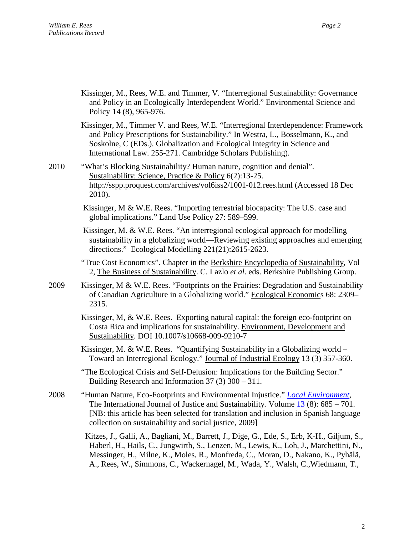Kissinger, M., Rees, W.E. and Timmer, V. "Interregional Sustainability: Governance and Policy in an Ecologically Interdependent World." Environmental Science and Policy 14 (8), 965-976.

Kissinger, M., Timmer V. and Rees, W.E. "Interregional Interdependence: Framework and Policy Prescriptions for Sustainability." In Westra, L., Bosselmann, K., and Soskolne, C (EDs.). Globalization and Ecological Integrity in Science and International Law. 255-271. Cambridge Scholars Publishing).

2010 "What's Blocking Sustainability? Human nature, cognition and denial". Sustainability: Science, Practice & Policy 6(2):13-25. <http://sspp.proquest.com/archives/vol6iss2/1001-012.rees.html> (Accessed 18 Dec 2010).

> Kissinger, M & W.E. Rees. "Importing terrestrial biocapacity: The U.S. case and global implications." Land Use Policy 27: 589–599.

Kissinger, M. & W.E. Rees. "An interregional ecological approach for modelling sustainability in a globalizing world—Reviewing existing approaches and emerging directions." Ecological Modelling 221(21):2615-2623.

"True Cost Economics". Chapter in the Berkshire Encyclopedia of Sustainability, Vol 2, The Business of Sustainability. C. Lazlo *et al*. eds. Berkshire Publishing Group.

- 2009 Kissinger, M & W.E. Rees. "Footprints on the Prairies: Degradation and Sustainability of Canadian Agriculture in a Globalizing world." Ecological Economics 68: 2309– 2315.
	- Kissinger, M, & W.E. Rees. Exporting natural capital: the foreign eco-footprint on Costa Rica and implications for sustainability. Environment, Development and Sustainability. DOI 10.1007/s10668-009-9210-7

Kissinger, M. & W.E. Rees. "Quantifying Sustainability in a Globalizing world – Toward an Interregional Ecology." Journal of Industrial Ecology 13 (3) 357-360.

"The Ecological Crisis and Self-Delusion: Implications for the Building Sector." Building Research and Information 37 (3) 300 – 311.

2008 "Human Nature, Eco-Footprints and Environmental Injustice." *[Local Environment,](http://www.informaworld.com/smpp/title%7Econtent=t713394137%7Edb=all)*  The International Journal of Justice and Sustainability*.* Volume [13](http://www.informaworld.com/smpp/title%7Econtent=t713394137%7Edb=all%7Etab=issueslist%7Ebranches=13#v13) (8): 685 – 701. [NB: this article has been selected for translation and inclusion in Spanish language collection on sustainability and social justice, 2009]

> Kitzes, J., Galli, A., Bagliani, M., Barrett, J., Dige, G., Ede, S., Erb, K-H., Giljum, S., Haberl, H., Hails, C., Jungwirth, S., Lenzen, M., Lewis, K., Loh, J., Marchettini, N., Messinger, H., Milne, K., Moles, R., Monfreda, C., Moran, D., Nakano, K., Pyhälä, A., Rees, W., Simmons, C., Wackernagel, M., Wada, Y., Walsh, C.,Wiedmann, T.,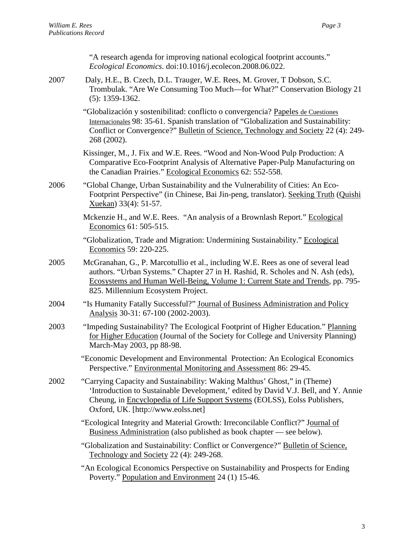|      | "A research agenda for improving national ecological footprint accounts."<br>Ecological Economics. doi:10.1016/j.ecolecon.2008.06.022.                                                                                                                                                      |
|------|---------------------------------------------------------------------------------------------------------------------------------------------------------------------------------------------------------------------------------------------------------------------------------------------|
| 2007 | Daly, H.E., B. Czech, D.L. Trauger, W.E. Rees, M. Grover, T Dobson, S.C.<br>Trombulak. "Are We Consuming Too Much—for What?" Conservation Biology 21<br>$(5): 1359-1362.$                                                                                                                   |
|      | "Globalización y sostenibilitad: conflicto o convergencia? Papeles de Cuestiones<br>Internacionales 98: 35-61. Spanish translation of "Globalization and Sustainability:<br>Conflict or Convergence?" Bulletin of Science, Technology and Society 22 (4): 249-<br>268 (2002).               |
|      | Kissinger, M., J. Fix and W.E. Rees. "Wood and Non-Wood Pulp Production: A<br>Comparative Eco-Footprint Analysis of Alternative Paper-Pulp Manufacturing on<br>the Canadian Prairies." Ecological Economics 62: 552-558.                                                                    |
| 2006 | "Global Change, Urban Sustainability and the Vulnerability of Cities: An Eco-<br>Footprint Perspective" (in Chinese, Bai Jin-peng, translator). Seeking Truth (Quishi<br>Xuekan) 33(4): 51-57.                                                                                              |
|      | Mckenzie H., and W.E. Rees. "An analysis of a Brownlash Report." Ecological<br>Economics 61: 505-515.                                                                                                                                                                                       |
|      | "Globalization, Trade and Migration: Undermining Sustainability." Ecological<br>Economics 59: 220-225.                                                                                                                                                                                      |
| 2005 | McGranahan, G., P. Marcotullio et al., including W.E. Rees as one of several lead<br>authors. "Urban Systems." Chapter 27 in H. Rashid, R. Scholes and N. Ash (eds),<br>Ecosystems and Human Well-Being, Volume 1: Current State and Trends, pp. 795-<br>825. Millennium Ecosystem Project. |
| 2004 | "Is Humanity Fatally Successful?" Journal of Business Administration and Policy<br>Analysis 30-31: 67-100 (2002-2003).                                                                                                                                                                      |
| 2003 | "Impeding Sustainability? The Ecological Footprint of Higher Education." Planning<br>for Higher Education (Journal of the Society for College and University Planning)<br>March-May 2003, pp 88-98.                                                                                         |
|      | "Economic Development and Environmental Protection: An Ecological Economics<br>Perspective." Environmental Monitoring and Assessment 86: 29-45.                                                                                                                                             |
| 2002 | "Carrying Capacity and Sustainability: Waking Malthus' Ghost," in (Theme)<br>'Introduction to Sustainable Development,' edited by David V.J. Bell, and Y. Annie<br>Cheung, in Encyclopedia of Life Support Systems (EOLSS), Eolss Publishers,<br>Oxford, UK. [http://www.eolss.net]         |
|      | "Ecological Integrity and Material Growth: Irreconcilable Conflict?" Journal of<br>Business Administration (also published as book chapter — see below).                                                                                                                                    |
|      | "Globalization and Sustainability: Conflict or Convergence?" Bulletin of Science,<br>Technology and Society 22 (4): 249-268.                                                                                                                                                                |
|      | "An Ecological Economics Perspective on Sustainability and Prospects for Ending<br>Poverty." Population and Environment 24 (1) 15-46.                                                                                                                                                       |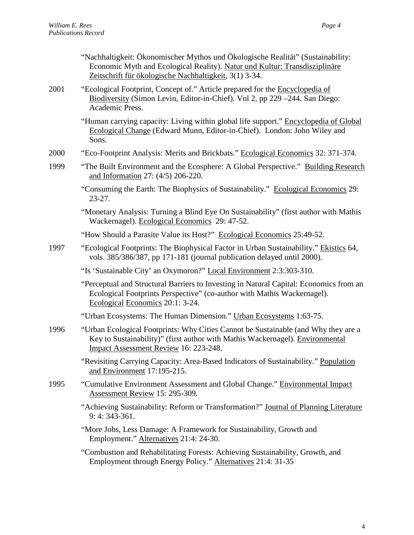|      | "Nachhaltigkeit: Ökonomischer Mythos und Ökologische Realität" (Sustainability:<br>Economic Myth and Ecological Reality). Natur und Kultur: Transdisziplinäre<br>Zeitschrift für ökologische Nachhaltigkeit, 3(1) 3-34. |
|------|-------------------------------------------------------------------------------------------------------------------------------------------------------------------------------------------------------------------------|
| 2001 | "Ecological Footprint, Concept of." Article prepared for the Encyclopedia of<br>Biodiversity (Simon Levin, Editor-in-Chief). Vol 2, pp 229 -244. San Diego:<br>Academic Press.                                          |
|      | "Human carrying capacity: Living within global life support." Encyclopedia of Global<br>Ecological Change (Edward Munn, Editor-in-Chief). London: John Wiley and<br>Sons.                                               |
| 2000 | "Eco-Footprint Analysis: Merits and Brickbats." Ecological Economics 32: 371-374.                                                                                                                                       |
| 1999 | "The Built Environment and the Ecosphere: A Global Perspective." Building Research<br>and Information 27: (4/5) 206-220.                                                                                                |
|      | "Consuming the Earth: The Biophysics of Sustainability." Ecological Economics 29:<br>$23 - 27$ .                                                                                                                        |
|      | "Monetary Analysis: Turning a Blind Eye On Sustainability" (first author with Mathis<br>Wackernagel). Ecological Economics 29: 47-52.                                                                                   |
|      | "How Should a Parasite Value its Host?" Ecological Economics 25:49-52.                                                                                                                                                  |
| 1997 | "Ecological Footprints: The Biophysical Factor in Urban Sustainability." Ekistics 64,<br>vols. 385/386/387, pp 171-181 (journal publication delayed until 2000).                                                        |
|      | "Is 'Sustainable City' an Oxymoron?" Local Environment 2:3:303-310.                                                                                                                                                     |
|      | "Perceptual and Structural Barriers to Investing in Natural Capital: Economics from an<br>Ecological Footprints Perspective" (co-author with Mathis Wackernagel).<br>Ecological Economics 20:1: 3-24.                   |
|      | "Urban Ecosystems: The Human Dimension." Urban Ecosystems 1:63-75.                                                                                                                                                      |
| 1996 | "Urban Ecological Footprints: Why Cities Cannot be Sustainable (and Why they are a<br>Key to Sustainability)" (first author with Mathis Wackernagel). Environmental<br>Impact Assessment Review 16: 223-248.            |
|      | "Revisiting Carrying Capacity: Area-Based Indicators of Sustainability." Population<br>and Environment 17:195-215.                                                                                                      |
| 1995 | "Cumulative Environment Assessment and Global Change." Environmental Impact<br>Assessment Review 15: 295-309.                                                                                                           |
|      | "Achieving Sustainability: Reform or Transformation?" Journal of Planning Literature<br>$9:4:343-361.$                                                                                                                  |
|      | "More Jobs, Less Damage: A Framework for Sustainability, Growth and<br>Employment." Alternatives 21:4: 24-30.                                                                                                           |
|      | "Combustion and Rehabilitating Forests: Achieving Sustainability, Growth, and<br>Employment through Energy Policy." Alternatives 21:4: 31-35                                                                            |
|      |                                                                                                                                                                                                                         |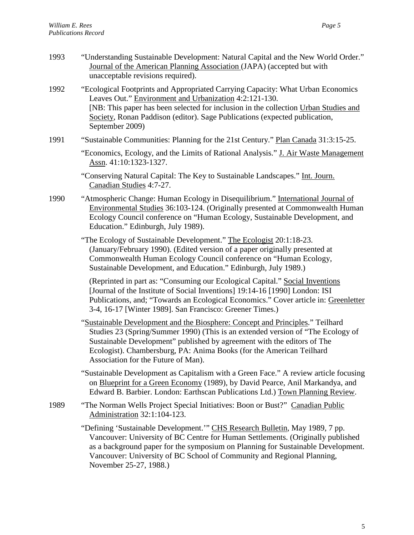| 1993 | "Understanding Sustainable Development: Natural Capital and the New World Order."<br>Journal of the American Planning Association (JAPA) (accepted but with<br>unacceptable revisions required).                                                                                                                                                           |
|------|------------------------------------------------------------------------------------------------------------------------------------------------------------------------------------------------------------------------------------------------------------------------------------------------------------------------------------------------------------|
| 1992 | "Ecological Footprints and Appropriated Carrying Capacity: What Urban Economics<br>Leaves Out." Environment and Urbanization 4:2:121-130.<br>[NB: This paper has been selected for inclusion in the collection Urban Studies and<br>Society, Ronan Paddison (editor). Sage Publications (expected publication,<br>September 2009)                          |
| 1991 | "Sustainable Communities: Planning for the 21st Century." Plan Canada 31:3:15-25.                                                                                                                                                                                                                                                                          |
|      | "Economics, Ecology, and the Limits of Rational Analysis." J. Air Waste Management<br>Assn. 41:10:1323-1327.                                                                                                                                                                                                                                               |
|      | "Conserving Natural Capital: The Key to Sustainable Landscapes." Int. Journ.<br>Canadian Studies 4:7-27.                                                                                                                                                                                                                                                   |
| 1990 | "Atmospheric Change: Human Ecology in Disequilibrium." International Journal of<br>Environmental Studies 36:103-124. (Originally presented at Commonwealth Human<br>Ecology Council conference on "Human Ecology, Sustainable Development, and<br>Education." Edinburgh, July 1989).                                                                       |
|      | "The Ecology of Sustainable Development." The Ecologist 20:1:18-23.<br>(January/February 1990). (Edited version of a paper originally presented at<br>Commonwealth Human Ecology Council conference on "Human Ecology,<br>Sustainable Development, and Education." Edinburgh, July 1989.)                                                                  |
|      | (Reprinted in part as: "Consuming our Ecological Capital." Social Inventions<br>[Journal of the Institute of Social Inventions] 19:14-16 [1990] London: ISI<br>Publications, and; "Towards an Ecological Economics." Cover article in: Greenletter<br>3-4, 16-17 [Winter 1989]. San Francisco: Greener Times.)                                             |
|      | "Sustainable Development and the Biosphere: Concept and Principles." Teilhard<br>Studies 23 (Spring/Summer 1990) (This is an extended version of "The Ecology of<br>Sustainable Development" published by agreement with the editors of The<br>Ecologist). Chambersburg, PA: Anima Books (for the American Teilhard<br>Association for the Future of Man). |
|      | "Sustainable Development as Capitalism with a Green Face." A review article focusing<br>on Blueprint for a Green Economy (1989), by David Pearce, Anil Markandya, and<br>Edward B. Barbier. London: Earthscan Publications Ltd.) Town Planning Review.                                                                                                     |
| 1989 | "The Norman Wells Project Special Initiatives: Boon or Bust?" Canadian Public<br>Administration 32:1:104-123.                                                                                                                                                                                                                                              |
|      | "Defining 'Sustainable Development." CHS Research Bulletin, May 1989, 7 pp.<br>Vancouver: University of BC Centre for Human Settlements. (Originally published                                                                                                                                                                                             |

as a background paper for the symposium on Planning for Sustainable Development. Vancouver: University of BC School of Community and Regional Planning, November 25-27, 1988.)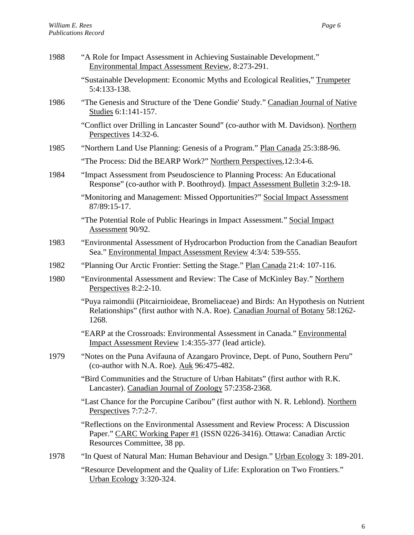| 1988 | "A Role for Impact Assessment in Achieving Sustainable Development."<br>Environmental Impact Assessment Review, 8:273-291.                                                              |
|------|-----------------------------------------------------------------------------------------------------------------------------------------------------------------------------------------|
|      | "Sustainable Development: Economic Myths and Ecological Realities," Trumpeter<br>5:4:133-138.                                                                                           |
| 1986 | "The Genesis and Structure of the 'Dene Gondie' Study." Canadian Journal of Native<br>Studies 6:1:141-157.                                                                              |
|      | "Conflict over Drilling in Lancaster Sound" (co-author with M. Davidson). Northern<br>Perspectives 14:32-6.                                                                             |
| 1985 | "Northern Land Use Planning: Genesis of a Program." Plan Canada 25:3:88-96.                                                                                                             |
|      | "The Process: Did the BEARP Work?" Northern Perspectives, 12:3:4-6.                                                                                                                     |
| 1984 | "Impact Assessment from Pseudoscience to Planning Process: An Educational<br>Response" (co-author with P. Boothroyd). Impact Assessment Bulletin 3:2:9-18.                              |
|      | "Monitoring and Management: Missed Opportunities?" Social Impact Assessment<br>87/89:15-17.                                                                                             |
|      | "The Potential Role of Public Hearings in Impact Assessment." Social Impact<br>Assessment 90/92.                                                                                        |
| 1983 | "Environmental Assessment of Hydrocarbon Production from the Canadian Beaufort<br>Sea." Environmental Impact Assessment Review 4:3/4: 539-555.                                          |
| 1982 | "Planning Our Arctic Frontier: Setting the Stage." Plan Canada 21:4: 107-116.                                                                                                           |
| 1980 | "Environmental Assessment and Review: The Case of McKinley Bay." Northern<br>Perspectives 8:2:2-10.                                                                                     |
|      | "Puya raimondii (Pitcairnioideae, Bromeliaceae) and Birds: An Hypothesis on Nutrient<br>Relationships" (first author with N.A. Roe). Canadian Journal of Botany 58:1262-<br>1268.       |
|      | "EARP at the Crossroads: Environmental Assessment in Canada." Environmental<br>Impact Assessment Review 1:4:355-377 (lead article).                                                     |
| 1979 | "Notes on the Puna Avifauna of Azangaro Province, Dept. of Puno, Southern Peru"<br>(co-author with N.A. Roe). Auk 96:475-482.                                                           |
|      | "Bird Communities and the Structure of Urban Habitats" (first author with R.K.<br>Lancaster). Canadian Journal of Zoology 57:2358-2368.                                                 |
|      | "Last Chance for the Porcupine Caribou" (first author with N. R. Leblond). Northern<br>Perspectives 7:7:2-7.                                                                            |
|      | "Reflections on the Environmental Assessment and Review Process: A Discussion<br>Paper." CARC Working Paper #1 (ISSN 0226-3416). Ottawa: Canadian Arctic<br>Resources Committee, 38 pp. |
| 1978 | "In Quest of Natural Man: Human Behaviour and Design." Urban Ecology 3: 189-201.                                                                                                        |
|      | "Resource Development and the Quality of Life: Exploration on Two Frontiers."<br>Urban Ecology 3:320-324.                                                                               |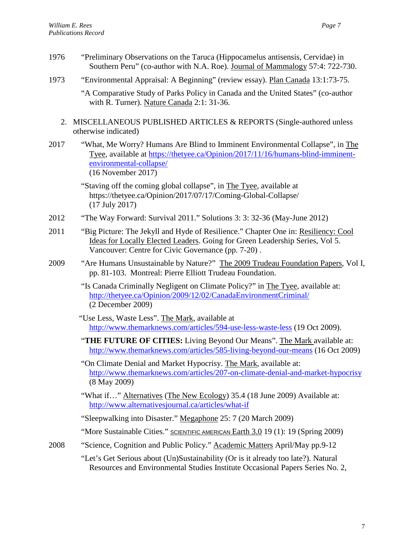- 1976 "Preliminary Observations on the Taruca (Hippocamelus antisensis, Cervidae) in Southern Peru" (co-author with N.A. Roe). Journal of Mammalogy 57:4: 722-730.
- 1973 "Environmental Appraisal: A Beginning" (review essay). Plan Canada 13:1:73-75.

"A Comparative Study of Parks Policy in Canada and the United States" (co-author with R. Turner). Nature Canada 2:1: 31-36.

- 2. MISCELLANEOUS PUBLISHED ARTICLES & REPORTS (Single-authored unless otherwise indicated)
- 2017 "What, Me Worry? Humans Are Blind to Imminent Environmental Collapse", in The Tyee, available at [https://thetyee.ca/Opinion/2017/11/16/humans-blind-imminent](https://thetyee.ca/Opinion/2017/11/16/humans-blind-imminent-environmental-collapse/)[environmental-collapse/](https://thetyee.ca/Opinion/2017/11/16/humans-blind-imminent-environmental-collapse/) (16 November 2017)

"Staving off the coming global collapse", in The Tyee, available at <https://thetyee.ca/Opinion/2017/07/17/Coming-Global-Collapse/> (17 July 2017)

- 2012 "The Way Forward: Survival 2011." Solutions 3: 3: 32-36 (May-June 2012)
- 2011 "Big Picture: The Jekyll and Hyde of Resilience." Chapter One in: Resiliency: Cool Ideas for Locally Elected Leaders. Going for Green Leadership Series, Vol 5. Vancouver: Centre for Civic Governance (pp. 7-20) .
- 2009 "Are Humans Unsustainable by Nature?" The 2009 Trudeau Foundation Papers, Vol I, pp. 81-103. Montreal: Pierre Elliott Trudeau Foundation.
	- "Is Canada Criminally Negligent on Climate Policy?" in The Tyee, available at: <http://thetyee.ca/Opinion/2009/12/02/CanadaEnvironmentCriminal/> (2 December 2009)
	- "Use Less, Waste Less". The Mark, available at <http://www.themarknews.com/articles/594-use-less-waste-less> (19 Oct 2009).
	- "**[THE FUTURE OF CITIES:](http://www.themarknews.com/topics)** Living Beyond Our Means". The Mark available at: <http://www.themarknews.com/articles/585-living-beyond-our-means> (16 Oct 2009)
	- "On Climate Denial and Market Hypocrisy. The Mark, available at: <http://www.themarknews.com/articles/207-on-climate-denial-and-market-hypocrisy> (8 May 2009)
	- "What if…" Alternatives (The New Ecology) 35.4 (18 June 2009) Available at: <http://www.alternativesjournal.ca/articles/what-if>

"Sleepwalking into Disaster." Megaphone 25: 7 (20 March 2009)

"More Sustainable Cities." SCIENTIFIC AMERICAN Earth 3.0 19 (1): 19 (Spring 2009)

2008 "Science, Cognition and Public Policy." Academic Matters April/May pp.9-12

"Let's Get Serious about (Un)Sustainability (Or is it already too late?). Natural Resources and Environmental Studies Institute Occasional Papers Series No. 2,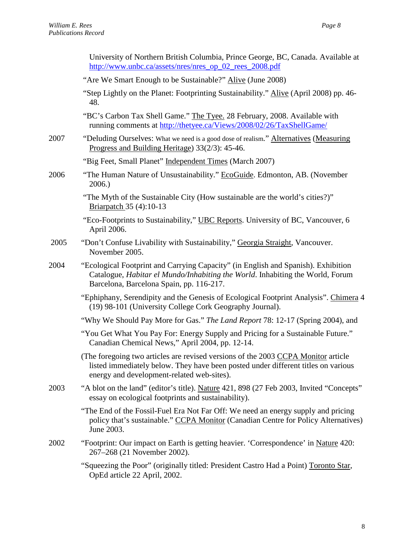|      | University of Northern British Columbia, Prince George, BC, Canada. Available at<br>http://www.unbc.ca/assets/nres/nres_op_02_rees_2008.pdf                                                                          |
|------|----------------------------------------------------------------------------------------------------------------------------------------------------------------------------------------------------------------------|
|      | "Are We Smart Enough to be Sustainable?" Alive (June 2008)                                                                                                                                                           |
|      | "Step Lightly on the Planet: Footprinting Sustainability." Alive (April 2008) pp. 46-<br>48.                                                                                                                         |
|      | "BC's Carbon Tax Shell Game." The Tyee. 28 February, 2008. Available with<br>running comments at http://thetyee.ca/Views/2008/02/26/TaxShellGame/                                                                    |
| 2007 | "Deluding Ourselves: What we need is a good dose of realism." Alternatives (Measuring<br>Progress and Building Heritage) 33(2/3): 45-46.                                                                             |
|      | "Big Feet, Small Planet" Independent Times (March 2007)                                                                                                                                                              |
| 2006 | "The Human Nature of Unsustainability." EcoGuide. Edmonton, AB. (November<br>2006.                                                                                                                                   |
|      | "The Myth of the Sustainable City (How sustainable are the world's cities?)"<br>Briarpatch 35 (4):10-13                                                                                                              |
|      | "Eco-Footprints to Sustainability," UBC Reports. University of BC, Vancouver, 6<br>April 2006.                                                                                                                       |
| 2005 | "Don't Confuse Livability with Sustainability," Georgia Straight, Vancouver.<br>November 2005.                                                                                                                       |
| 2004 | "Ecological Footprint and Carrying Capacity" (in English and Spanish). Exhibition<br>Catalogue, Habitar el Mundo/Inhabiting the World. Inhabiting the World, Forum<br>Barcelona, Barcelona Spain, pp. 116-217.       |
|      | "Ephiphany, Serendipity and the Genesis of Ecological Footprint Analysis". Chimera 4<br>(19) 98-101 (University College Cork Geography Journal).                                                                     |
|      | "Why We Should Pay More for Gas." The Land Report 78: 12-17 (Spring 2004), and                                                                                                                                       |
|      | "You Get What You Pay For: Energy Supply and Pricing for a Sustainable Future."<br>Canadian Chemical News," April 2004, pp. 12-14.                                                                                   |
|      | (The foregoing two articles are revised versions of the 2003 CCPA Monitor article<br>listed immediately below. They have been posted under different titles on various<br>energy and development-related web-sites). |
| 2003 | "A blot on the land" (editor's title). Nature 421, 898 (27 Feb 2003, Invited "Concepts"<br>essay on ecological footprints and sustainability).                                                                       |
|      | "The End of the Fossil-Fuel Era Not Far Off: We need an energy supply and pricing<br>policy that's sustainable." CCPA Monitor (Canadian Centre for Policy Alternatives)<br>June 2003.                                |
| 2002 | "Footprint: Our impact on Earth is getting heavier. 'Correspondence' in Nature 420:<br>267-268 (21 November 2002).                                                                                                   |
|      | "Squeezing the Poor" (originally titled: President Castro Had a Point) Toronto Star,<br>OpEd article 22 April, 2002.                                                                                                 |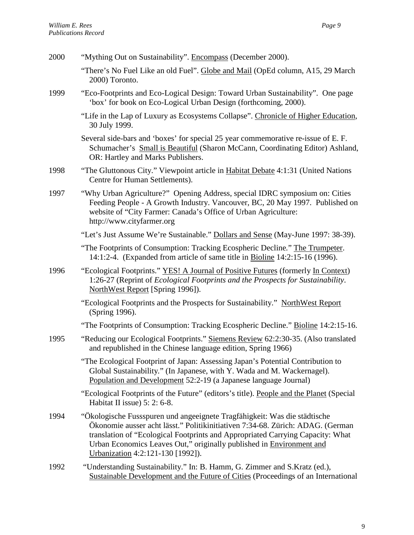| 2000 | "Mything Out on Sustainability". Encompass (December 2000).                                                                                                                                                                                                                                                                                                |
|------|------------------------------------------------------------------------------------------------------------------------------------------------------------------------------------------------------------------------------------------------------------------------------------------------------------------------------------------------------------|
|      | "There's No Fuel Like an old Fuel". Globe and Mail (OpEd column, A15, 29 March<br>2000) Toronto.                                                                                                                                                                                                                                                           |
| 1999 | "Eco-Footprints and Eco-Logical Design: Toward Urban Sustainability". One page<br>'box' for book on Eco-Logical Urban Design (forthcoming, 2000).                                                                                                                                                                                                          |
|      | "Life in the Lap of Luxury as Ecosystems Collapse". Chronicle of Higher Education,<br>30 July 1999.                                                                                                                                                                                                                                                        |
|      | Several side-bars and 'boxes' for special 25 year commemorative re-issue of E. F.<br>Schumacher's Small is Beautiful (Sharon McCann, Coordinating Editor) Ashland,<br>OR: Hartley and Marks Publishers.                                                                                                                                                    |
| 1998 | "The Gluttonous City." Viewpoint article in Habitat Debate 4:1:31 (United Nations<br>Centre for Human Settlements).                                                                                                                                                                                                                                        |
| 1997 | "Why Urban Agriculture?" Opening Address, special IDRC symposium on: Cities<br>Feeding People - A Growth Industry. Vancouver, BC, 20 May 1997. Published on<br>website of "City Farmer: Canada's Office of Urban Agriculture:<br>http://www.cityfarmer.org                                                                                                 |
|      | "Let's Just Assume We're Sustainable." Dollars and Sense (May-June 1997: 38-39).                                                                                                                                                                                                                                                                           |
|      | "The Footprints of Consumption: Tracking Ecospheric Decline." The Trumpeter.<br>14:1:2-4. (Expanded from article of same title in Bioline 14:2:15-16 (1996).                                                                                                                                                                                               |
| 1996 | "Ecological Footprints." YES! A Journal of Positive Futures (formerly In Context)<br>1:26-27 (Reprint of Ecological Footprints and the Prospects for Sustainability.<br>NorthWest Report [Spring 1996]).                                                                                                                                                   |
|      | "Ecological Footprints and the Prospects for Sustainability." NorthWest Report<br>(Spring 1996).                                                                                                                                                                                                                                                           |
|      | "The Footprints of Consumption: Tracking Ecospheric Decline." Bioline 14:2:15-16.                                                                                                                                                                                                                                                                          |
| 1995 | "Reducing our Ecological Footprints." Siemens Review 62:2:30-35. (Also translated<br>and republished in the Chinese language edition, Spring 1966)                                                                                                                                                                                                         |
|      | "The Ecological Footprint of Japan: Assessing Japan's Potential Contribution to<br>Global Sustainability." (In Japanese, with Y. Wada and M. Wackernagel).<br>Population and Development 52:2-19 (a Japanese language Journal)                                                                                                                             |
|      | "Ecological Footprints of the Future" (editors's title). People and the Planet (Special<br>Habitat II issue) $5: 2: 6-8$ .                                                                                                                                                                                                                                 |
| 1994 | "Ökologische Fussspuren und angeeignete Tragfähigkeit: Was die städtische<br>Ökonomie ausser acht lässt." Politikinitiativen 7:34-68. Zürich: ADAG. (German<br>translation of "Ecological Footprints and Appropriated Carrying Capacity: What<br>Urban Economics Leaves Out," originally published in Environment and<br>Urbanization 4:2:121-130 [1992]). |
| 1992 | "Understanding Sustainability." In: B. Hamm, G. Zimmer and S.Kratz (ed.),<br>Sustainable Development and the Future of Cities (Proceedings of an International                                                                                                                                                                                             |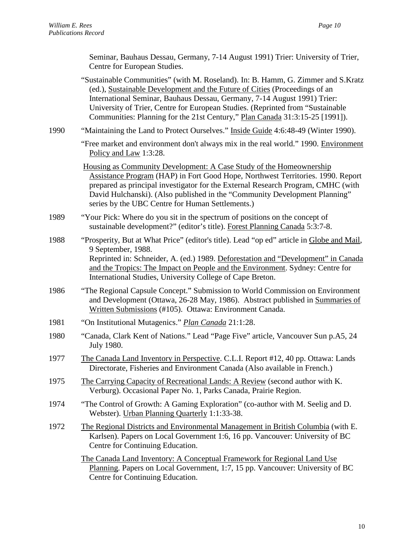Seminar, Bauhaus Dessau, Germany, 7-14 August 1991) Trier: University of Trier, Centre for European Studies.

"Sustainable Communities" (with M. Roseland). In: B. Hamm, G. Zimmer and S.Kratz (ed.), Sustainable Development and the Future of Cities (Proceedings of an International Seminar, Bauhaus Dessau, Germany, 7-14 August 1991) Trier: University of Trier, Centre for European Studies. (Reprinted from "Sustainable Communities: Planning for the 21st Century," Plan Canada 31:3:15-25 [1991]).

1990 "Maintaining the Land to Protect Ourselves." Inside Guide 4:6:48-49 (Winter 1990).

"Free market and environment don't always mix in the real world." 1990. Environment Policy and Law 1:3:28.

Housing as Community Development: A Case Study of the Homeownership Assistance Program (HAP) in Fort Good Hope, Northwest Territories. 1990. Report prepared as principal investigator for the External Research Program, CMHC (with David Hulchanski). (Also published in the "Community Development Planning" series by the UBC Centre for Human Settlements.)

- 1989 "Your Pick: Where do you sit in the spectrum of positions on the concept of sustainable development?" (editor's title). Forest Planning Canada 5:3:7-8.
- 1988 "Prosperity, But at What Price" (editor's title). Lead "op ed" article in Globe and Mail, 9 September, 1988. Reprinted in: Schneider, A. (ed.) 1989. Deforestation and "Development" in Canada and the Tropics: The Impact on People and the Environment. Sydney: Centre for International Studies, University College of Cape Breton.
- 1986 "The Regional Capsule Concept." Submission to World Commission on Environment and Development (Ottawa, 26-28 May, 1986). Abstract published in Summaries of Written Submissions (#105). Ottawa: Environment Canada.
- 1981 "On Institutional Mutagenics." *Plan Canada* 21:1:28.
- 1980 "Canada, Clark Kent of Nations." Lead "Page Five" article, Vancouver Sun p.A5, 24 July 1980.
- 1977 The Canada Land Inventory in Perspective. C.L.I. Report #12, 40 pp. Ottawa: Lands Directorate, Fisheries and Environment Canada (Also available in French.)
- 1975 The Carrying Capacity of Recreational Lands: A Review (second author with K. Verburg). Occasional Paper No. 1, Parks Canada, Prairie Region.
- 1974 "The Control of Growth: A Gaming Exploration" (co-author with M. Seelig and D. Webster). Urban Planning Quarterly 1:1:33-38.
- 1972 The Regional Districts and Environmental Management in British Columbia (with E. Karlsen). Papers on Local Government 1:6, 16 pp. Vancouver: University of BC Centre for Continuing Education.

The Canada Land Inventory: A Conceptual Framework for Regional Land Use Planning. Papers on Local Government, 1:7, 15 pp. Vancouver: University of BC Centre for Continuing Education.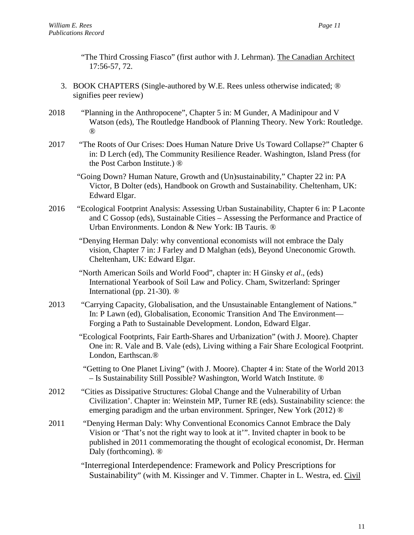"The Third Crossing Fiasco" (first author with J. Lehrman). The Canadian Architect 17:56-57, 72.

- 3. BOOK CHAPTERS (Single-authored by W.E. Rees unless otherwise indicated; ® signifies peer review)
- 2018 "Planning in the Anthropocene", Chapter 5 in: M Gunder, A Madinipour and V Watson (eds), The Routledge Handbook of Planning Theory. New York: Routledge. ®
- 2017 "The Roots of Our Crises: Does Human Nature Drive Us Toward Collapse?" Chapter 6 in: D Lerch (ed), The Community Resilience Reader. Washington, Island Press (for the Post Carbon Institute.) ®
	- "Going Down? Human Nature, Growth and (Un)sustainability," Chapter 22 in: PA Victor, B Dolter (eds), Handbook on Growth and Sustainability. Cheltenham, UK: Edward Elgar.
- 2016 "Ecological Footprint Analysis: Assessing Urban Sustainability, Chapter 6 in: P Laconte and C Gossop (eds), Sustainable Cities – Assessing the Performance and Practice of Urban Environments. London & New York: IB Tauris. ®
	- "Denying Herman Daly: why conventional economists will not embrace the Daly vision, Chapter 7 in: J Farley and D Malghan (eds), Beyond Uneconomic Growth. Cheltenham, UK: Edward Elgar.
	- "North American Soils and World Food", chapter in: H Ginsky *et al*., (eds) International Yearbook of Soil Law and Policy. Cham, Switzerland: Springer International (pp. 21-30). ®
- 2013 "Carrying Capacity, Globalisation, and the Unsustainable Entanglement of Nations." In: P Lawn (ed), Globalisation, Economic Transition And The Environment— Forging a Path to Sustainable Development. London, Edward Elgar.
	- "Ecological Footprints, Fair Earth-Shares and Urbanization" (with J. Moore). Chapter One in: R. Vale and B. Vale (eds), Living withing a Fair Share Ecological Footprint. London, Earthscan.®
	- "Getting to One Planet Living" (with J. Moore). Chapter 4 in: State of the World 2013 – Is Sustainability Still Possible? Washington, World Watch Institute. ®
- 2012 "Cities as Dissipative Structures: Global Change and the Vulnerability of Urban Civilization'. Chapter in: Weinstein MP, Turner RE (eds). Sustainability science: the emerging paradigm and the urban environment. Springer, New York (2012) ®
- 2011 "Denying Herman Daly: Why Conventional Economics Cannot Embrace the Daly Vision or 'That's not the right way to look at it'". Invited chapter in book to be published in 2011 commemorating the thought of ecological economist, Dr. Herman Daly (forthcoming).  $\mathbb{D}$ 
	- "Interregional Interdependence: Framework and Policy Prescriptions for Sustainability" (with M. Kissinger and V. Timmer. Chapter in L. Westra, ed. Civil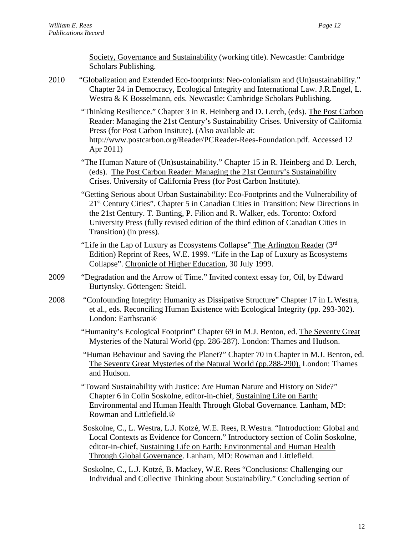Society, Governance and Sustainability (working title). Newcastle: Cambridge Scholars Publishing.

- 2010 "Globalization and Extended Eco-footprints: Neo-colonialism and (Un)sustainability." Chapter 24 in Democracy, Ecological Integrity and International Law. J.R.Engel, L. Westra & K Bosselmann, eds. Newcastle: Cambridge Scholars Publishing.
	- "Thinking Resilience." Chapter 3 in [R. Heinberg](http://www.postcarbon.org/person/36200-richard-heinberg) and [D. Lerch,](http://www.postcarbon.org/person/36194-daniel-lerch) (eds). The Post Carbon Reader: Managing the 21st Century's Sustainability Crises. University of California Press (for Post Carbon Insitute). (Also available at: [http://www.postcarbon.org/Reader/PCReader-Rees-Foundation.pdf.](http://www.postcarbon.org/Reader/PCReader-Rees-Foundation.pdf) Accessed 12 Apr 2011)
	- "The Human Nature of (Un)sustainability." Chapter 15 in [R. Heinberg](http://www.postcarbon.org/person/36200-richard-heinberg) and [D. Lerch,](http://www.postcarbon.org/person/36194-daniel-lerch) (eds). The Post Carbon Reader: Managing the 21st Century's Sustainability Crises. University of California Press (for Post Carbon Institute).
	- "Getting Serious about Urban Sustainability: Eco-Footprints and the Vulnerability of 21<sup>st</sup> Century Cities". Chapter 5 in Canadian Cities in Transition: New Directions in the 21st Century. T. Bunting, P. Filion and R. Walker, eds. Toronto: Oxford University Press (fully revised edition of the third edition of Canadian Cities in Transition) (in press).
	- "Life in the Lap of Luxury as Ecosystems Collapse" The Arlington Reader (3rd) Edition) Reprint of Rees, W.E. 1999. "Life in the Lap of Luxury as Ecosystems Collapse". Chronicle of Higher Education, 30 July 1999.
- 2009 "Degradation and the Arrow of Time." Invited context essay for, Oil, by Edward Burtynsky. Göttengen: Steidl.
- 2008 "Confounding Integrity: Humanity as Dissipative Structure" Chapter 17 in L.Westra, et al., eds. Reconciling Human Existence with Ecological Integrity (pp. 293-302). London: Earthscan®
	- "Humanity's Ecological Footprint" Chapter 69 in M.J. Benton, ed. The Seventy Great Mysteries of the Natural World (pp. 286-287). London: Thames and Hudson.
	- "Human Behaviour and Saving the Planet?" Chapter 70 in Chapter in M.J. Benton, ed. The Seventy Great Mysteries of the Natural World (pp.288-290). London: Thames and Hudson.
	- "Toward Sustainability with Justice: Are Human Nature and History on Side?" Chapter 6 in Colin Soskolne, editor-in-chief, Sustaining Life on Earth: Environmental and Human Health Through Global Governance. Lanham, MD: Rowman and Littlefield.®
	- Soskolne, C., L. Westra, L.J. Kotzé, W.E. Rees, R.Westra. "Introduction: Global and Local Contexts as Evidence for Concern." Introductory section of Colin Soskolne, editor-in-chief, Sustaining Life on Earth: Environmental and Human Health Through Global Governance. Lanham, MD: Rowman and Littlefield.
	- Soskolne, C., L.J. Kotzé, B. Mackey, W.E. Rees "Conclusions: Challenging our Individual and Collective Thinking about Sustainability." Concluding section of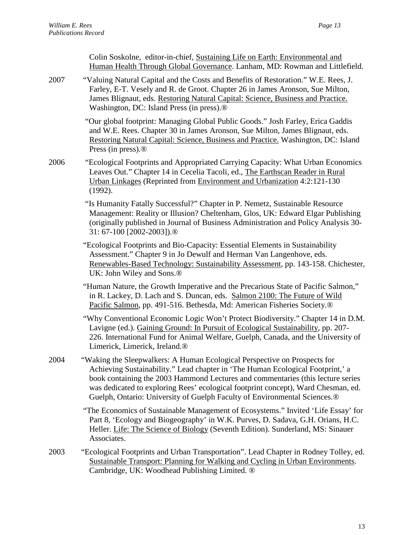|      | Colin Soskolne, editor-in-chief, Sustaining Life on Earth: Environmental and<br>Human Health Through Global Governance. Lanham, MD: Rowman and Littlefield.                                                                                                                                                                                                                                                                  |
|------|------------------------------------------------------------------------------------------------------------------------------------------------------------------------------------------------------------------------------------------------------------------------------------------------------------------------------------------------------------------------------------------------------------------------------|
| 2007 | "Valuing Natural Capital and the Costs and Benefits of Restoration." W.E. Rees, J.<br>Farley, E-T. Vesely and R. de Groot. Chapter 26 in James Aronson, Sue Milton,<br>James Blignaut, eds. Restoring Natural Capital: Science, Business and Practice.<br>Washington, DC: Island Press (in press). <sup>®</sup>                                                                                                              |
|      | "Our global footprint: Managing Global Public Goods." Josh Farley, Erica Gaddis<br>and W.E. Rees. Chapter 30 in James Aronson, Sue Milton, James Blignaut, eds.<br>Restoring Natural Capital: Science, Business and Practice. Washington, DC: Island<br>Press (in press). $\circledR$                                                                                                                                        |
| 2006 | "Ecological Footprints and Appropriated Carrying Capacity: What Urban Economics<br>Leaves Out." Chapter 14 in Cecelia Tacoli, ed., The Earthscan Reader in Rural<br>Urban Linkages (Reprinted from Environment and Urbanization 4:2:121-130<br>(1992).                                                                                                                                                                       |
|      | "Is Humanity Fatally Successful?" Chapter in P. Nemetz, Sustainable Resource<br>Management: Reality or Illusion? Cheltenham, Glos, UK: Edward Elgar Publishing<br>(originally published in Journal of Business Administration and Policy Analysis 30-<br>31:67-100 [2002-2003]). <sup>®</sup>                                                                                                                                |
|      | "Ecological Footprints and Bio-Capacity: Essential Elements in Sustainability<br>Assessment." Chapter 9 in Jo Dewulf and Herman Van Langenhove, eds.<br>Renewables-Based Technology: Sustainability Assessment, pp. 143-158. Chichester,<br>UK: John Wiley and Sons. <sup>®</sup>                                                                                                                                            |
|      | "Human Nature, the Growth Imperative and the Precarious State of Pacific Salmon,"<br>in R. Lackey, D. Lach and S. Duncan, eds. Salmon 2100: The Future of Wild<br>Pacific Salmon, pp. 491-516. Bethesda, Md: American Fisheries Society. <sup>®</sup>                                                                                                                                                                        |
|      | "Why Conventional Economic Logic Won't Protect Biodiversity." Chapter 14 in D.M.<br>Lavigne (ed.). Gaining Ground: In Pursuit of Ecological Sustainability, pp. 207-<br>226. International Fund for Animal Welfare, Guelph, Canada, and the University of<br>Limerick, Limerick, Ireland.®                                                                                                                                   |
| 2004 | "Waking the Sleepwalkers: A Human Ecological Perspective on Prospects for<br>Achieving Sustainability." Lead chapter in 'The Human Ecological Footprint,' a<br>book containing the 2003 Hammond Lectures and commentaries (this lecture series<br>was dedicated to exploring Rees' ecological footprint concept), Ward Chesman, ed.<br>Guelph, Ontario: University of Guelph Faculty of Environmental Sciences. <sup>®</sup> |
|      | "The Economics of Sustainable Management of Ecosystems." Invited 'Life Essay' for<br>Part 8, 'Ecology and Biogeography' in W.K. Purves, D. Sadava, G.H. Orians, H.C.<br>Heller. Life: The Science of Biology (Seventh Edition). Sunderland, MS: Sinauer<br>Associates.                                                                                                                                                       |
| 2003 | "Ecological Footprints and Urban Transportation". Lead Chapter in Rodney Tolley, ed.<br>Sustainable Transport: Planning for Walking and Cycling in Urban Environments.<br>Cambridge, UK: Woodhead Publishing Limited. ®                                                                                                                                                                                                      |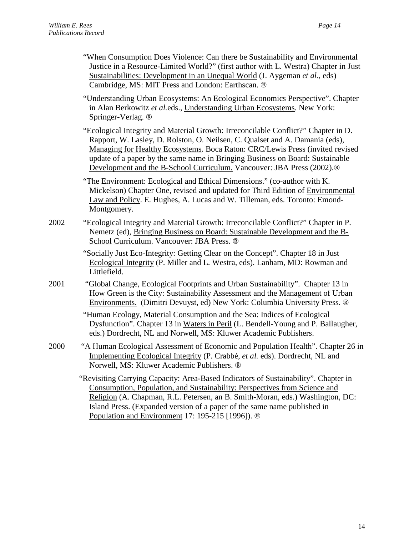- "When Consumption Does Violence: Can there be Sustainability and Environmental Justice in a Resource-Limited World?" (first author with L. Westra) Chapter in Just Sustainabilities: Development in an Unequal World (J. Aygeman *et al*., eds) Cambridge, MS: MIT Press and London: Earthscan. ®
- "Understanding Urban Ecosystems: An Ecological Economics Perspective". Chapter in Alan Berkowitz *et al.*eds., Understanding Urban Ecosystems. New York: Springer-Verlag. ®

 "Ecological Integrity and Material Growth: Irreconcilable Conflict?" Chapter in D. Rapport, W. Lasley, D. Rolston, O. Neilsen, C. Qualset and A. Damania (eds), Managing for Healthy Ecosystems*.* Boca Raton: CRC/Lewis Press (invited revised update of a paper by the same name in Bringing Business on Board: Sustainable Development and the B-School Curriculum. Vancouver: JBA Press (2002).®

 "The Environment: Ecological and Ethical Dimensions." (co-author with K. Mickelson) Chapter One, revised and updated for Third Edition of Environmental Law and Policy. E. Hughes, A. Lucas and W. Tilleman, eds. Toronto: Emond-Montgomery.

2002 "Ecological Integrity and Material Growth: Irreconcilable Conflict?" Chapter in P. Nemetz (ed), Bringing Business on Board: Sustainable Development and the B-School Curriculum. Vancouver: JBA Press. ®

> "Socially Just Eco-Integrity: Getting Clear on the Concept". Chapter 18 in Just Ecological Integrity (P. Miller and L. Westra, eds). Lanham, MD: Rowman and Littlefield.

2001 "Global Change, Ecological Footprints and Urban Sustainability". Chapter 13 in How Green is the City: Sustainability Assessment and the Management of Urban Environments. (Dimitri Devuyst, ed) New York: Columbia University Press. ®

> "Human Ecology, Material Consumption and the Sea: Indices of Ecological Dysfunction". Chapter 13 in Waters in Peril (L. Bendell-Young and P. Ballaugher, eds.) Dordrecht, NL and Norwell, MS: Kluwer Academic Publishers.

2000 "A Human Ecological Assessment of Economic and Population Health". Chapter 26 in Implementing Ecological Integrity (P. Crabbé, *et al.* eds). Dordrecht, NL and Norwell, MS: Kluwer Academic Publishers. ®

 "Revisiting Carrying Capacity: Area-Based Indicators of Sustainability". Chapter in Consumption, Population, and Sustainability: Perspectives from Science and Religion (A. Chapman, R.L. Petersen, an B. Smith-Moran, eds.) Washington, DC: Island Press. (Expanded version of a paper of the same name published in Population and Environment 17: 195-215 [1996]). ®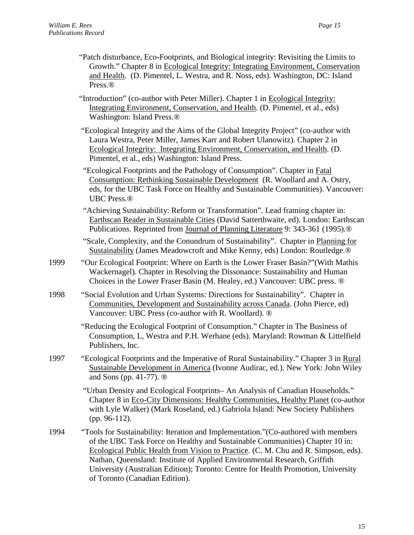- "Patch disturbance, Eco-Footprints, and Biological integrity: Revisiting the Limits to Growth." Chapter 8 in Ecological Integrity: Integrating Environment, Conservation and Health*.* (D. Pimentel, L. Westra, and R. Noss, eds). Washington, DC: Island Press.®
- "Introduction" (co-author with Peter Miller). Chapter 1 in Ecological Integrity: Integrating Environment, Conservation, and Health. (D. Pimentel, et al., eds) Washington: Island Press.®

 "Ecological Integrity and the Aims of the Global Integrity Project" (co-author with Laura Westra, Peter Miller, James Karr and Robert Ulanowitz). Chapter 2 in Ecological Integrity: Integrating Environment, Conservation, and Health. (D. Pimentel, et al., eds) Washington: Island Press.

 "Ecological Footprints and the Pathology of Consumption". Chapter in Fatal Consumption: Rethinking Sustainable Development (R. Woollard and A. Ostry, eds, for the UBC Task Force on Healthy and Sustainable Communities). Vancouver: UBC Press.®

 "Achieving Sustainability: Reform or Transformation". Lead framing chapter in: Earthscan Reader in Sustainable Cities (David Satterthwaite, ed). London: Earthscan Publications. Reprinted from Journal of Planning Literature 9: 343-361 (1995).®

 "Scale, Complexity, and the Conundrum of Sustainability". Chapter in Planning for Sustainability (James Meadowcroft and Mike Kenny, eds) London: Routledge.®

- 1999 "Our Ecological Footprint: Where on Earth is the Lower Fraser Basin?"(With Mathis Wackernagel). Chapter in Resolving the Dissonance: Sustainability and Human Choices in the Lower Fraser Basin (M. Healey, ed.) Vancouver: UBC press. ®
- 1998 "Social Evolution and Urban Systems: Directions for Sustainability". Chapter in Communities, Development and Sustainability across Canada. (John Pierce, ed) Vancouver: UBC Press (co-author with R. Woollard). ®

 "Reducing the Ecological Footprint of Consumption." Chapter in The Business of Consumption, L, Westra and P.H. Werhane (eds). Maryland: Rowman & Littelfield Publishers, Inc.

1997 "Ecological Footprints and the Imperative of Rural Sustainability." Chapter 3 in Rural Sustainable Development in America (Ivonne Audirac, ed.). New York: John Wiley and Sons (pp. 41-77). ®

> "Urban Density and Ecological Footprints– An Analysis of Canadian Households." Chapter 8 in Eco-City Dimensions: Healthy Communities, Healthy Planet (co-author with Lyle Walker) (Mark Roseland, ed.) Gabriola Island: New Society Publishers (pp. 96-112).

1994 "Tools for Sustainability: Iteration and Implementation."(Co-authored with members of the UBC Task Force on Healthy and Sustainable Communities) Chapter 10 in: Ecological Public Health from Vision to Practice. (C. M. Chu and R. Simpson, eds). Nathan, Queensland: Institute of Applied Environmental Research, Griffith University (Australian Edition); Toronto: Centre for Health Promotion, University of Toronto (Canadian Edition).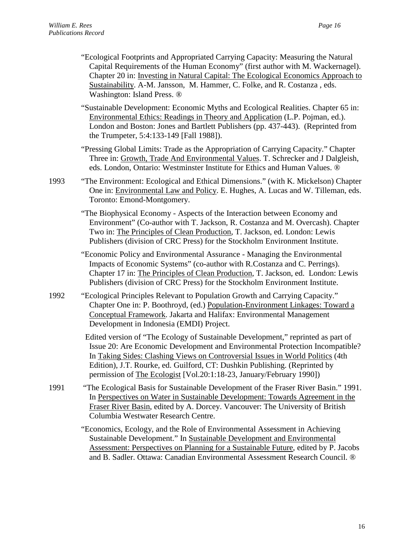- "Ecological Footprints and Appropriated Carrying Capacity: Measuring the Natural Capital Requirements of the Human Economy" (first author with M. Wackernagel). Chapter 20 in: Investing in Natural Capital: The Ecological Economics Approach to Sustainability. A-M. Jansson, M. Hammer, C. Folke, and R. Costanza , eds. Washington: Island Press. ®
- "Sustainable Development: Economic Myths and Ecological Realities. Chapter 65 in: Environmental Ethics: Readings in Theory and Application (L.P. Pojman, ed.). London and Boston: Jones and Bartlett Publishers (pp. 437-443). (Reprinted from the Trumpeter, 5:4:133-149 [Fall 1988]).

"Pressing Global Limits: Trade as the Appropriation of Carrying Capacity." Chapter Three in: Growth, Trade And Environmental Values. T. Schrecker and J Dalgleish, eds. London, Ontario: Westminster Institute for Ethics and Human Values. ®

1993 "The Environment: Ecological and Ethical Dimensions." (with K. Mickelson) Chapter One in: Environmental Law and Policy. E. Hughes, A. Lucas and W. Tilleman, eds. Toronto: Emond-Montgomery.

> "The Biophysical Economy - Aspects of the Interaction between Economy and Environment" (Co-author with T. Jackson, R. Costanza and M. Overcash). Chapter Two in: The Principles of Clean Production, T. Jackson, ed. London: Lewis Publishers (division of CRC Press) for the Stockholm Environment Institute.

> "Economic Policy and Environmental Assurance - Managing the Environmental Impacts of Economic Systems" (co-author with R.Costanza and C. Perrings). Chapter 17 in: The Principles of Clean Production, T. Jackson, ed. London: Lewis Publishers (division of CRC Press) for the Stockholm Environment Institute.

1992 "Ecological Principles Relevant to Population Growth and Carrying Capacity." Chapter One in: P. Boothroyd, (ed.) Population-Environment Linkages: Toward a Conceptual Framework. Jakarta and Halifax: Environmental Management Development in Indonesia (EMDI) Project.

> Edited version of "The Ecology of Sustainable Development," reprinted as part of Issue 20: Are Economic Development and Environmental Protection Incompatible? In Taking Sides: Clashing Views on Controversial Issues in World Politics (4th Edition), J.T. Rourke, ed. Guilford, CT: Dushkin Publishing. (Reprinted by permission of The Ecologist [Vol.20:1:18-23, January/February 1990])

1991 "The Ecological Basis for Sustainable Development of the Fraser River Basin." 1991. In Perspectives on Water in Sustainable Development: Towards Agreement in the Fraser River Basin, edited by A. Dorcey. Vancouver: The University of British Columbia Westwater Research Centre.

> "Economics, Ecology, and the Role of Environmental Assessment in Achieving Sustainable Development." In Sustainable Development and Environmental Assessment: Perspectives on Planning for a Sustainable Future, edited by P. Jacobs and B. Sadler. Ottawa: Canadian Environmental Assessment Research Council. ®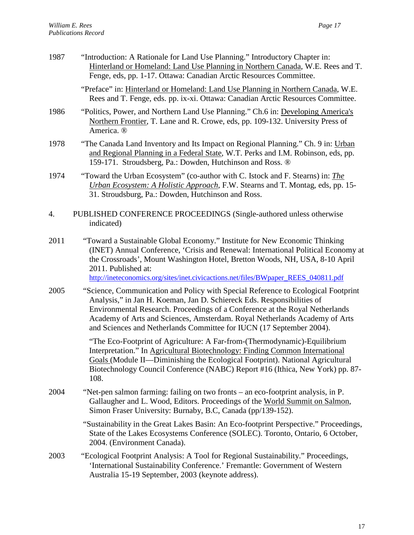| 1987 | "Introduction: A Rationale for Land Use Planning." Introductory Chapter in:<br>Hinterland or Homeland: Land Use Planning in Northern Canada, W.E. Rees and T.<br>Fenge, eds, pp. 1-17. Ottawa: Canadian Arctic Resources Committee.                                                                                                                                                               |
|------|---------------------------------------------------------------------------------------------------------------------------------------------------------------------------------------------------------------------------------------------------------------------------------------------------------------------------------------------------------------------------------------------------|
|      | "Preface" in: Hinterland or Homeland: Land Use Planning in Northern Canada, W.E.<br>Rees and T. Fenge, eds. pp. ix-xi. Ottawa: Canadian Arctic Resources Committee.                                                                                                                                                                                                                               |
| 1986 | "Politics, Power, and Northern Land Use Planning." Ch.6 in: Developing America's<br>Northern Frontier, T. Lane and R. Crowe, eds, pp. 109-132. University Press of<br>America. ®                                                                                                                                                                                                                  |
| 1978 | "The Canada Land Inventory and Its Impact on Regional Planning." Ch. 9 in: Urban<br>and Regional Planning in a Federal State, W.T. Perks and I.M. Robinson, eds, pp.<br>159-171. Stroudsberg, Pa.: Dowden, Hutchinson and Ross. ®                                                                                                                                                                 |
| 1974 | "Toward the Urban Ecosystem" (co-author with C. Istock and F. Stearns) in: <i>The</i><br>Urban Ecosystem: A Holistic Approach, F.W. Stearns and T. Montag, eds, pp. 15-<br>31. Stroudsburg, Pa.: Dowden, Hutchinson and Ross.                                                                                                                                                                     |
| 4.   | PUBLISHED CONFERENCE PROCEEDINGS (Single-authored unless otherwise<br>indicated)                                                                                                                                                                                                                                                                                                                  |
| 2011 | "Toward a Sustainable Global Economy." Institute for New Economic Thinking<br>(INET) Annual Conference, 'Crisis and Renewal: International Political Economy at<br>the Crossroads', Mount Washington Hotel, Bretton Woods, NH, USA, 8-10 April<br>2011. Published at:<br>http://ineteconomics.org/sites/inet.civicactions.net/files/BWpaper REES 040811.pdf                                       |
| 2005 | "Science, Communication and Policy with Special Reference to Ecological Footprint<br>Analysis," in Jan H. Koeman, Jan D. Schiereck Eds. Responsibilities of<br>Environmental Research. Proceedings of a Conference at the Royal Netherlands<br>Academy of Arts and Sciences, Amsterdam. Royal Netherlands Academy of Arts<br>and Sciences and Netherlands Committee for IUCN (17 September 2004). |
|      | "The Eco-Footprint of Agriculture: A Far-from-(Thermodynamic)-Equilibrium<br>Interpretation." In Agricultural Biotechnology: Finding Common International<br>Goals (Module II—Diminishing the Ecological Footprint). National Agricultural<br>Biotechnology Council Conference (NABC) Report #16 (Ithica, New York) pp. 87-<br>108.                                                               |
| 2004 | "Net-pen salmon farming: failing on two fronts – an eco-footprint analysis, in P.<br>Gallaugher and L. Wood, Editors. Proceedings of the World Summit on Salmon,<br>Simon Fraser University: Burnaby, B.C, Canada (pp/139-152).                                                                                                                                                                   |
|      | "Sustainability in the Great Lakes Basin: An Eco-footprint Perspective." Proceedings,<br>State of the Lakes Ecosystems Conference (SOLEC). Toronto, Ontario, 6 October,<br>2004. (Environment Canada).                                                                                                                                                                                            |
| 2003 | "Ecological Footprint Analysis: A Tool for Regional Sustainability." Proceedings,<br>'International Sustainability Conference.' Fremantle: Government of Western<br>Australia 15-19 September, 2003 (keynote address).                                                                                                                                                                            |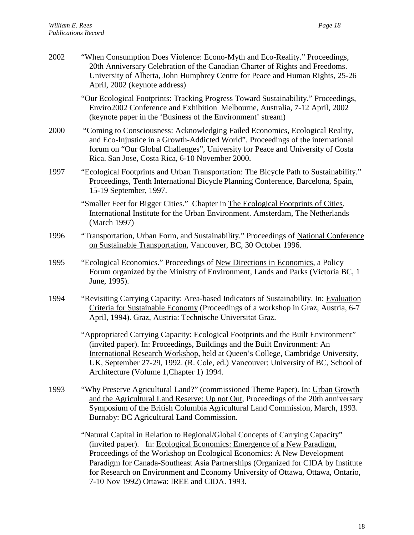| 2002 | "When Consumption Does Violence: Econo-Myth and Eco-Reality." Proceedings,<br>20th Anniversary Celebration of the Canadian Charter of Rights and Freedoms.<br>University of Alberta, John Humphrey Centre for Peace and Human Rights, 25-26<br>April, 2002 (keynote address)                                                                                                      |
|------|-----------------------------------------------------------------------------------------------------------------------------------------------------------------------------------------------------------------------------------------------------------------------------------------------------------------------------------------------------------------------------------|
|      | "Our Ecological Footprints: Tracking Progress Toward Sustainability." Proceedings,<br>Enviro2002 Conference and Exhibition Melbourne, Australia, 7-12 April, 2002<br>(keynote paper in the 'Business of the Environment' stream)                                                                                                                                                  |
| 2000 | "Coming to Consciousness: Acknowledging Failed Economics, Ecological Reality,<br>and Eco-Injustice in a Growth-Addicted World". Proceedings of the international<br>forum on "Our Global Challenges", University for Peace and University of Costa<br>Rica. San Jose, Costa Rica, 6-10 November 2000.                                                                             |
| 1997 | "Ecological Footprints and Urban Transportation: The Bicycle Path to Sustainability."<br>Proceedings, Tenth International Bicycle Planning Conference, Barcelona, Spain,<br>15-19 September, 1997.                                                                                                                                                                                |
|      | "Smaller Feet for Bigger Cities." Chapter in The Ecological Footprints of Cities.<br>International Institute for the Urban Environment. Amsterdam, The Netherlands<br>(March 1997)                                                                                                                                                                                                |
| 1996 | "Transportation, Urban Form, and Sustainability." Proceedings of National Conference<br>on Sustainable Transportation, Vancouver, BC, 30 October 1996.                                                                                                                                                                                                                            |
| 1995 | "Ecological Economics." Proceedings of New Directions in Economics, a Policy<br>Forum organized by the Ministry of Environment, Lands and Parks (Victoria BC, 1)<br>June, 1995).                                                                                                                                                                                                  |
| 1994 | "Revisiting Carrying Capacity: Area-based Indicators of Sustainability. In: Evaluation<br>Criteria for Sustainable Economy (Proceedings of a workshop in Graz, Austria, 6-7<br>April, 1994). Graz, Austria: Technische Universitat Graz.                                                                                                                                          |
|      | "Appropriated Carrying Capacity: Ecological Footprints and the Built Environment"<br>(invited paper). In: Proceedings, Buildings and the Built Environment: An<br>International Research Workshop, held at Queen's College, Cambridge University,<br>UK, September 27-29, 1992. (R. Cole, ed.) Vancouver: University of BC, School of<br>Architecture (Volume 1, Chapter 1) 1994. |
| 1993 | "Why Preserve Agricultural Land?" (commissioned Theme Paper). In: Urban Growth<br>and the Agricultural Land Reserve: Up not Out, Proceedings of the 20th anniversary<br>Symposium of the British Columbia Agricultural Land Commission, March, 1993.<br>Burnaby: BC Agricultural Land Commission.                                                                                 |
|      | "Natural Capital in Relation to Regional/Global Concepts of Carrying Capacity"<br>(invited paper). In: Ecological Economics: Emergence of a New Paradigm,<br>Proceedings of the Workshop on Ecological Economics: A New Development                                                                                                                                               |

Paradigm for Canada-Southeast Asia Partnerships (Organized for CIDA by Institute for Research on Environment and Economy University of Ottawa, Ottawa, Ontario, 7-10 Nov 1992) Ottawa: IREE and CIDA. 1993.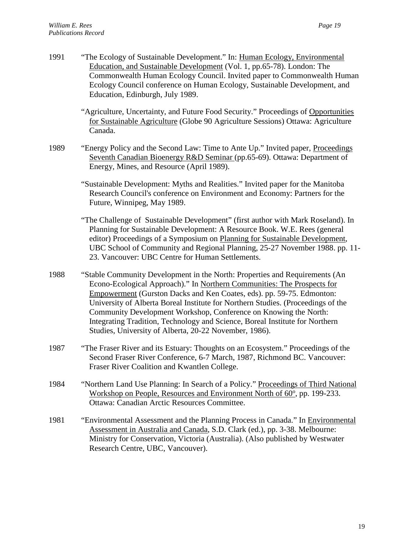1991 "The Ecology of Sustainable Development." In: Human Ecology, Environmental Education, and Sustainable Development (Vol. 1, pp.65-78). London: The Commonwealth Human Ecology Council. Invited paper to Commonwealth Human Ecology Council conference on Human Ecology, Sustainable Development, and Education, Edinburgh, July 1989. "Agriculture, Uncertainty, and Future Food Security." Proceedings of Opportunities for Sustainable Agriculture (Globe 90 Agriculture Sessions) Ottawa: Agriculture Canada. 1989 "Energy Policy and the Second Law: Time to Ante Up." Invited paper, Proceedings Seventh Canadian Bioenergy R&D Seminar (pp.65-69). Ottawa: Department of Energy, Mines, and Resource (April 1989). "Sustainable Development: Myths and Realities." Invited paper for the Manitoba Research Council's conference on Environment and Economy: Partners for the Future, Winnipeg, May 1989. "The Challenge of Sustainable Development" (first author with Mark Roseland). In Planning for Sustainable Development: A Resource Book. W.E. Rees (general editor) Proceedings of a Symposium on Planning for Sustainable Development, UBC School of Community and Regional Planning, 25-27 November 1988. pp. 11- 23. Vancouver: UBC Centre for Human Settlements. 1988 "Stable Community Development in the North: Properties and Requirements (An Econo-Ecological Approach)." In Northern Communities: The Prospects for Empowerment (Gurston Dacks and Ken Coates, eds). pp. 59-75. Edmonton: University of Alberta Boreal Institute for Northern Studies. (Proceedings of the Community Development Workshop, Conference on Knowing the North: Integrating Tradition, Technology and Science, Boreal Institute for Northern Studies, University of Alberta, 20-22 November, 1986). 1987 "The Fraser River and its Estuary: Thoughts on an Ecosystem." Proceedings of the Second Fraser River Conference, 6-7 March, 1987, Richmond BC. Vancouver: Fraser River Coalition and Kwantlen College. 1984 "Northern Land Use Planning: In Search of a Policy." Proceedings of Third National Workshop on People, Resources and Environment North of 60°, pp. 199-233. Ottawa: Canadian Arctic Resources Committee. 1981 "Environmental Assessment and the Planning Process in Canada." In Environmental Assessment in Australia and Canada, S.D. Clark (ed.), pp. 3-38. Melbourne: Ministry for Conservation, Victoria (Australia). (Also published by Westwater Research Centre, UBC, Vancouver).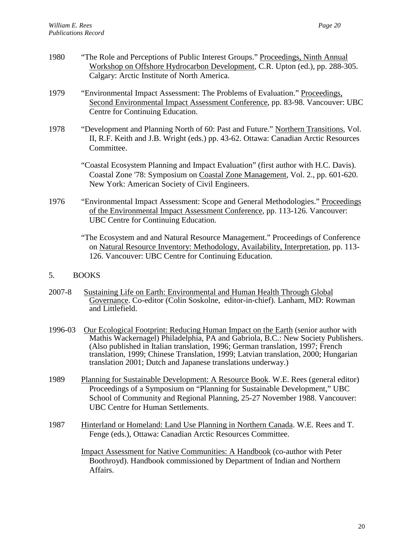- 1980 "The Role and Perceptions of Public Interest Groups." Proceedings, Ninth Annual Workshop on Offshore Hydrocarbon Development, C.R. Upton (ed.), pp. 288-305. Calgary: Arctic Institute of North America.
- 1979 "Environmental Impact Assessment: The Problems of Evaluation." Proceedings, Second Environmental Impact Assessment Conference, pp. 83-98. Vancouver: UBC Centre for Continuing Education.
- 1978 "Development and Planning North of 60: Past and Future." Northern Transitions, Vol. II, R.F. Keith and J.B. Wright (eds.) pp. 43-62. Ottawa: Canadian Arctic Resources Committee.
	- "Coastal Ecosystem Planning and Impact Evaluation" (first author with H.C. Davis). Coastal Zone '78: Symposium on Coastal Zone Management, Vol. 2., pp. 601-620. New York: American Society of Civil Engineers.
- 1976 "Environmental Impact Assessment: Scope and General Methodologies." Proceedings of the Environmental Impact Assessment Conference, pp. 113-126. Vancouver: UBC Centre for Continuing Education.
	- "The Ecosystem and and Natural Resource Management." Proceedings of Conference on Natural Resource Inventory: Methodology, Availability, Interpretation, pp. 113- 126. Vancouver: UBC Centre for Continuing Education.
- 5. BOOKS
- 2007-8 Sustaining Life on Earth: Environmental and Human Health Through Global Governance. Co-editor (Colin Soskolne, editor-in-chief). Lanham, MD: Rowman and Littlefield.
- 1996-03 Our Ecological Footprint: Reducing Human Impact on the Earth (senior author with Mathis Wackernagel) Philadelphia, PA and Gabriola, B.C.: New Society Publishers. (Also published in Italian translation, 1996; German translation, 1997; French translation, 1999; Chinese Translation, 1999; Latvian translation, 2000; Hungarian translation 2001; Dutch and Japanese translations underway.)
- 1989 Planning for Sustainable Development: A Resource Book. W.E. Rees (general editor) Proceedings of a Symposium on "Planning for Sustainable Development," UBC School of Community and Regional Planning, 25-27 November 1988. Vancouver: UBC Centre for Human Settlements.
- 1987 Hinterland or Homeland: Land Use Planning in Northern Canada. W.E. Rees and T. Fenge (eds.), Ottawa: Canadian Arctic Resources Committee.

Impact Assessment for Native Communities: A Handbook (co-author with Peter Boothroyd). Handbook commissioned by Department of Indian and Northern Affairs.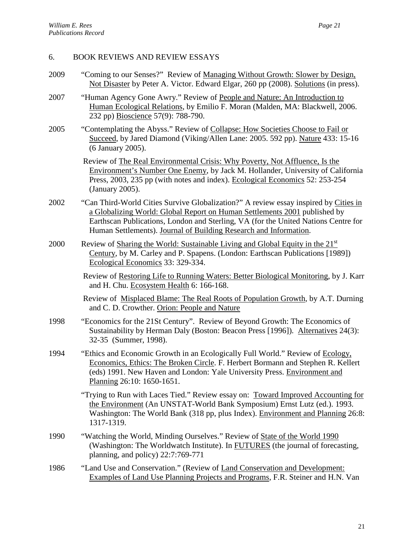## 6. BOOK REVIEWS AND REVIEW ESSAYS

- 2009 "Coming to our Senses?" Review of Managing Without Growth: Slower by Design, Not Disaster by Peter A. Victor. Edward Elgar, 260 pp (2008). Solutions (in press).
- 2007 "Human Agency Gone Awry." Review of People and Nature: An Introduction to Human Ecological Relations, by Emilio F. Moran (Malden, MA: Blackwell, 2006. 232 pp) Bioscience 57(9): 788-790.
- 2005 "Contemplating the Abyss." Review of Collapse: How Societies Choose to Fail or Succeed, by Jared Diamond (Viking/Allen Lane: 2005. 592 pp). Nature 433: 15-16 (6 January 2005).

Review of The Real Environmental Crisis: Why Poverty, Not Affluence, Is the Environment's Number One Enemy, by Jack M. Hollander, University of California Press, 2003, 235 pp (with notes and index). Ecological Economics 52: 253-254 (January 2005).

- 2002 "Can Third-World Cities Survive Globalization?" A review essay inspired by Cities in a Globalizing World: Global Report on Human Settlements 2001 published by Earthscan Publications, London and Sterling, VA (for the United Nations Centre for Human Settlements). Journal of Building Research and Information.
- 2000 Review of Sharing the World: Sustainable Living and Global Equity in the  $21<sup>st</sup>$ Century, by M. Carley and P. Spapens. (London: Earthscan Publications [1989]) Ecological Economics 33: 329-334.

Review of Restoring Life to Running Waters: Better Biological Monitoring, by J. Karr and H. Chu. Ecosystem Health 6: 166-168.

Review of Misplaced Blame: The Real Roots of Population Growth, by A.T. Durning and C. D. Crowther. Orion: People and Nature

- 1998 "Economics for the 21St Century". Review of Beyond Growth: The Economics of Sustainability by Herman Daly (Boston: Beacon Press [1996]). Alternatives 24(3): 32-35 (Summer, 1998).
- 1994 "Ethics and Economic Growth in an Ecologically Full World." Review of Ecology, Economics, Ethics: The Broken Circle. F. Herbert Bormann and Stephen R. Kellert (eds) 1991. New Haven and London: Yale University Press. Environment and Planning 26:10: 1650-1651.

"Trying to Run with Laces Tied." Review essay on: Toward Improved Accounting for the Environment (An UNSTAT-World Bank Symposium) Ernst Lutz (ed.). 1993. Washington: The World Bank (318 pp, plus Index). Environment and Planning 26:8: 1317-1319.

- 1990 "Watching the World, Minding Ourselves." Review of State of the World 1990 (Washington: The Worldwatch Institute). In FUTURES (the journal of forecasting, planning, and policy) 22:7:769-771
- 1986 "Land Use and Conservation." (Review of Land Conservation and Development: Examples of Land Use Planning Projects and Programs, F.R. Steiner and H.N. Van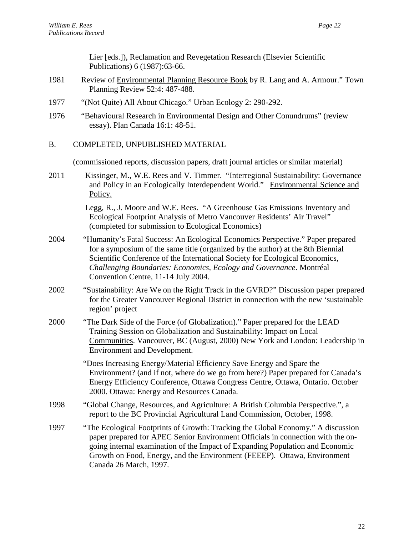Lier [eds.]), Reclamation and Revegetation Research (Elsevier Scientific Publications) 6 (1987):63-66.

- 1981 Review of Environmental Planning Resource Book by R. Lang and A. Armour." Town Planning Review 52:4: 487-488.
- 1977 "(Not Quite) All About Chicago." Urban Ecology 2: 290-292.
- 1976 "Behavioural Research in Environmental Design and Other Conundrums" (review essay). Plan Canada 16:1: 48-51.
- B. COMPLETED, UNPUBLISHED MATERIAL

(commissioned reports, discussion papers, draft journal articles or similar material)

2011 Kissinger, M., W.E. Rees and V. Timmer. "Interregional Sustainability: Governance and Policy in an Ecologically Interdependent World." Environmental Science and Policy.

> Legg, R., J. Moore and W.E. Rees. "A Greenhouse Gas Emissions Inventory and Ecological Footprint Analysis of Metro Vancouver Residents' Air Travel" (completed for submission to Ecological Economics)

- 2004 "Humanity's Fatal Success: An Ecological Economics Perspective." Paper prepared for a symposium of the same title (organized by the author) at the 8th Biennial Scientific Conference of the International Society for Ecological Economics, *Challenging Boundaries: Economics, Ecology and Governance*. Montréal Convention Centre, 11-14 July 2004.
- 2002 "Sustainability: Are We on the Right Track in the GVRD?" Discussion paper prepared for the Greater Vancouver Regional District in connection with the new 'sustainable region' project
- 2000 "The Dark Side of the Force (of Globalization)." Paper prepared for the LEAD Training Session on Globalization and Sustainability: Impact on Local Communities. Vancouver, BC (August, 2000) New York and London: Leadership in Environment and Development.

"Does Increasing Energy/Material Efficiency Save Energy and Spare the Environment? (and if not, where do we go from here?) Paper prepared for Canada's Energy Efficiency Conference, Ottawa Congress Centre, Ottawa, Ontario. October 2000. Ottawa: Energy and Resources Canada.

- 1998 "Global Change, Resources, and Agriculture: A British Columbia Perspective.", a report to the BC Provincial Agricultural Land Commission, October, 1998.
- 1997 "The Ecological Footprints of Growth: Tracking the Global Economy." A discussion paper prepared for APEC Senior Environment Officials in connection with the ongoing internal examination of the Impact of Expanding Population and Economic Growth on Food, Energy, and the Environment (FEEEP). Ottawa, Environment Canada 26 March, 1997.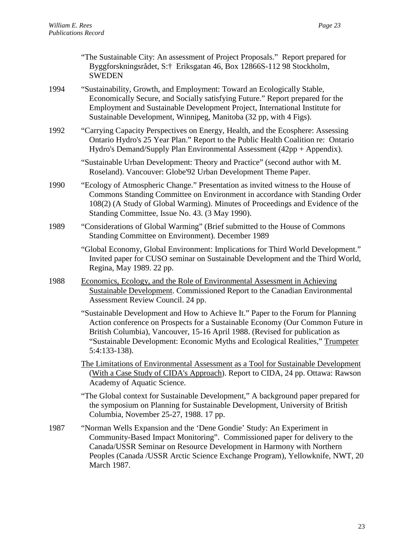|      | "The Sustainable City: An assessment of Project Proposals." Report prepared for<br>Byggforskningsrådet, S:† Eriksgatan 46, Box 12866S-112 98 Stockholm,<br><b>SWEDEN</b>                                                                                                                                                                              |
|------|-------------------------------------------------------------------------------------------------------------------------------------------------------------------------------------------------------------------------------------------------------------------------------------------------------------------------------------------------------|
| 1994 | "Sustainability, Growth, and Employment: Toward an Ecologically Stable,<br>Economically Secure, and Socially satisfying Future." Report prepared for the<br>Employment and Sustainable Development Project, International Institute for<br>Sustainable Development, Winnipeg, Manitoba (32 pp, with 4 Figs).                                          |
| 1992 | "Carrying Capacity Perspectives on Energy, Health, and the Ecosphere: Assessing<br>Ontario Hydro's 25 Year Plan." Report to the Public Health Coalition re: Ontario<br>Hydro's Demand/Supply Plan Environmental Assessment (42pp + Appendix).                                                                                                         |
|      | "Sustainable Urban Development: Theory and Practice" (second author with M.<br>Roseland). Vancouver: Globe'92 Urban Development Theme Paper.                                                                                                                                                                                                          |
| 1990 | "Ecology of Atmospheric Change." Presentation as invited witness to the House of<br>Commons Standing Committee on Environment in accordance with Standing Order<br>108(2) (A Study of Global Warming). Minutes of Proceedings and Evidence of the<br>Standing Committee, Issue No. 43. (3 May 1990).                                                  |
| 1989 | "Considerations of Global Warming" (Brief submitted to the House of Commons<br>Standing Committee on Environment). December 1989                                                                                                                                                                                                                      |
|      | "Global Economy, Global Environment: Implications for Third World Development."<br>Invited paper for CUSO seminar on Sustainable Development and the Third World,<br>Regina, May 1989. 22 pp.                                                                                                                                                         |
| 1988 | Economics, Ecology, and the Role of Environmental Assessment in Achieving<br>Sustainable Development. Commissioned Report to the Canadian Environmental<br>Assessment Review Council. 24 pp.                                                                                                                                                          |
|      | "Sustainable Development and How to Achieve It." Paper to the Forum for Planning<br>Action conference on Prospects for a Sustainable Economy (Our Common Future in<br>British Columbia), Vancouver, 15-16 April 1988. (Revised for publication as<br>"Sustainable Development: Economic Myths and Ecological Realities," Trumpeter<br>$5:4:133-138$ . |
|      | The Limitations of Environmental Assessment as a Tool for Sustainable Development<br>(With a Case Study of CIDA's Approach). Report to CIDA, 24 pp. Ottawa: Rawson<br>Academy of Aquatic Science.                                                                                                                                                     |
|      | "The Global context for Sustainable Development," A background paper prepared for<br>the symposium on Planning for Sustainable Development, University of British<br>Columbia, November 25-27, 1988. 17 pp.                                                                                                                                           |
| 1987 | "Norman Wells Expansion and the 'Dene Gondie' Study: An Experiment in<br>Community-Based Impact Monitoring". Commissioned paper for delivery to the<br>Canada/USSR Seminar on Resource Development in Harmony with Northern                                                                                                                           |

Peoples (Canada /USSR Arctic Science Exchange Program), Yellowknife, NWT, 20 March 1987.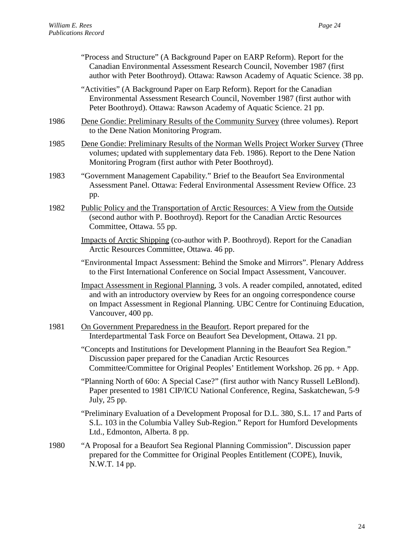|      | "Process and Structure" (A Background Paper on EARP Reform). Report for the<br>Canadian Environmental Assessment Research Council, November 1987 (first<br>author with Peter Boothroyd). Ottawa: Rawson Academy of Aquatic Science. 38 pp.                                      |
|------|---------------------------------------------------------------------------------------------------------------------------------------------------------------------------------------------------------------------------------------------------------------------------------|
|      | "Activities" (A Background Paper on Earp Reform). Report for the Canadian<br>Environmental Assessment Research Council, November 1987 (first author with<br>Peter Boothroyd). Ottawa: Rawson Academy of Aquatic Science. 21 pp.                                                 |
| 1986 | Dene Gondie: Preliminary Results of the Community Survey (three volumes). Report<br>to the Dene Nation Monitoring Program.                                                                                                                                                      |
| 1985 | Dene Gondie: Preliminary Results of the Norman Wells Project Worker Survey (Three<br>volumes; updated with supplementary data Feb. 1986). Report to the Dene Nation<br>Monitoring Program (first author with Peter Boothroyd).                                                  |
| 1983 | "Government Management Capability." Brief to the Beaufort Sea Environmental<br>Assessment Panel. Ottawa: Federal Environmental Assessment Review Office. 23<br>pp.                                                                                                              |
| 1982 | Public Policy and the Transportation of Arctic Resources: A View from the Outside<br>(second author with P. Boothroyd). Report for the Canadian Arctic Resources<br>Committee, Ottawa. 55 pp.                                                                                   |
|      | Impacts of Arctic Shipping (co-author with P. Boothroyd). Report for the Canadian<br>Arctic Resources Committee, Ottawa. 46 pp.                                                                                                                                                 |
|      | "Environmental Impact Assessment: Behind the Smoke and Mirrors". Plenary Address<br>to the First International Conference on Social Impact Assessment, Vancouver.                                                                                                               |
|      | Impact Assessment in Regional Planning, 3 vols. A reader compiled, annotated, edited<br>and with an introductory overview by Rees for an ongoing correspondence course<br>on Impact Assessment in Regional Planning. UBC Centre for Continuing Education,<br>Vancouver, 400 pp. |
| 1981 | On Government Preparedness in the Beaufort. Report prepared for the<br>Interdepartmental Task Force on Beaufort Sea Development, Ottawa. 21 pp.                                                                                                                                 |
|      | "Concepts and Institutions for Development Planning in the Beaufort Sea Region."<br>Discussion paper prepared for the Canadian Arctic Resources<br>Committee/Committee for Original Peoples' Entitlement Workshop. 26 pp. + App.                                                |
|      | "Planning North of 60o: A Special Case?" (first author with Nancy Russell LeBlond).<br>Paper presented to 1981 CIP/ICU National Conference, Regina, Saskatchewan, 5-9<br>July, 25 pp.                                                                                           |
|      | "Preliminary Evaluation of a Development Proposal for D.L. 380, S.L. 17 and Parts of<br>S.L. 103 in the Columbia Valley Sub-Region." Report for Humford Developments<br>Ltd., Edmonton, Alberta. 8 pp.                                                                          |
| 1980 | "A Proposal for a Beaufort Sea Regional Planning Commission". Discussion paper<br>prepared for the Committee for Original Peoples Entitlement (COPE), Inuvik,<br>N.W.T. 14 pp.                                                                                                  |